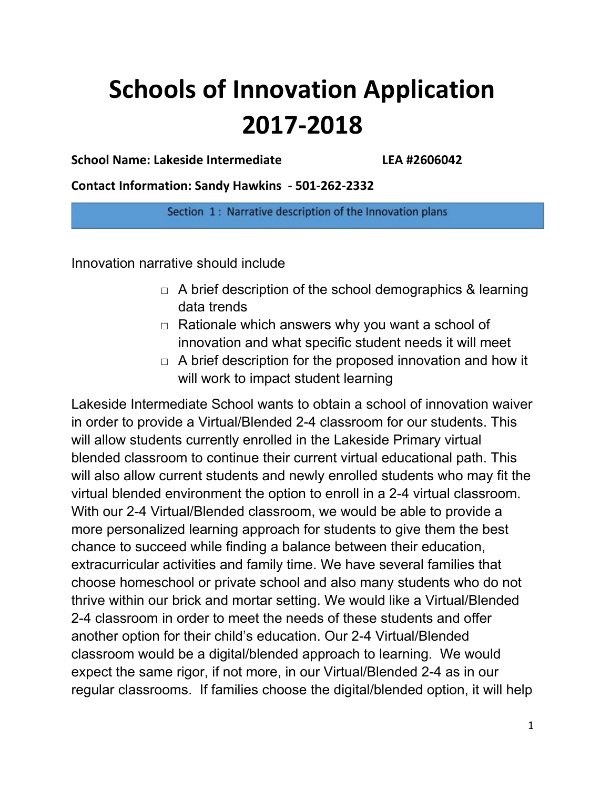# **Schools of Innovation Application 2017-2018**

**School Name: Lakeside Intermediate LEA #2606042**

**Contact Information: Sandy Hawkins - 501-262-2332**

Section 1: Narrative description of the Innovation plans

Innovation narrative should include

- $\Box$  A brief description of the school demographics & learning data trends
- $\Box$  Rationale which answers why you want a school of innovation and what specific student needs it will meet
- $\Box$  A brief description for the proposed innovation and how it will work to impact student learning

Lakeside Intermediate School wants to obtain a school of innovation waiver in order to provide a Virtual/Blended 2-4 classroom for our students. This will allow students currently enrolled in the Lakeside Primary virtual blended classroom to continue their current virtual educational path. This will also allow current students and newly enrolled students who may fit the virtual blended environment the option to enroll in a 2-4 virtual classroom. With our 2-4 Virtual/Blended classroom, we would be able to provide a more personalized learning approach for students to give them the best chance to succeed while finding a balance between their education, extracurricular activities and family time. We have several families that choose homeschool or private school and also many students who do not thrive within our brick and mortar setting. We would like a Virtual/Blended 2-4 classroom in order to meet the needs of these students and offer another option for their child's education. Our 2-4 Virtual/Blended classroom would be a digital/blended approach to learning. We would expect the same rigor, if not more, in our Virtual/Blended 2-4 as in our regular classrooms. If families choose the digital/blended option, it will help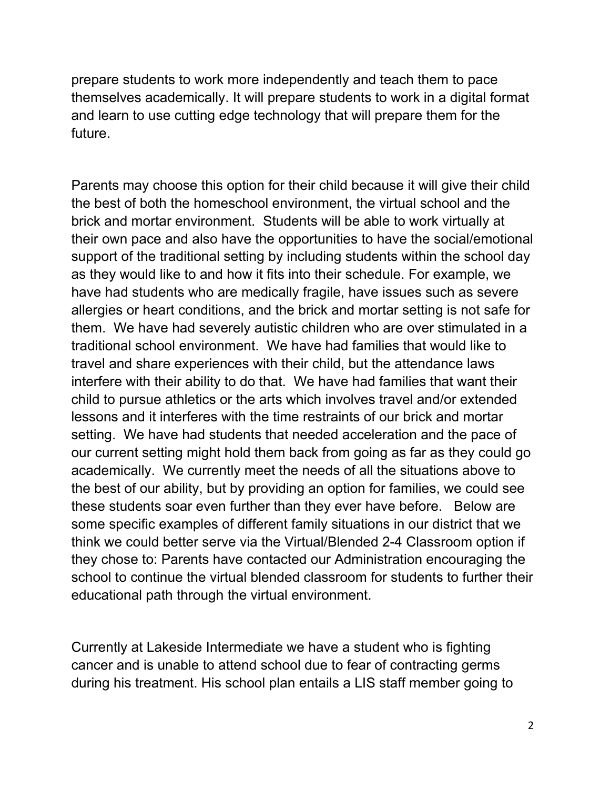prepare students to work more independently and teach them to pace themselves academically. It will prepare students to work in a digital format and learn to use cutting edge technology that will prepare them for the future.

Parents may choose this option for their child because it will give their child the best of both the homeschool environment, the virtual school and the brick and mortar environment. Students will be able to work virtually at their own pace and also have the opportunities to have the social/emotional support of the traditional setting by including students within the school day as they would like to and how it fits into their schedule. For example, we have had students who are medically fragile, have issues such as severe allergies or heart conditions, and the brick and mortar setting is not safe for them. We have had severely autistic children who are over stimulated in a traditional school environment. We have had families that would like to travel and share experiences with their child, but the attendance laws interfere with their ability to do that. We have had families that want their child to pursue athletics or the arts which involves travel and/or extended lessons and it interferes with the time restraints of our brick and mortar setting. We have had students that needed acceleration and the pace of our current setting might hold them back from going as far as they could go academically. We currently meet the needs of all the situations above to the best of our ability, but by providing an option for families, we could see these students soar even further than they ever have before. Below are some specific examples of different family situations in our district that we think we could better serve via the Virtual/Blended 2-4 Classroom option if they chose to: Parents have contacted our Administration encouraging the school to continue the virtual blended classroom for students to further their educational path through the virtual environment.

Currently at Lakeside Intermediate we have a student who is fighting cancer and is unable to attend school due to fear of contracting germs during his treatment. His school plan entails a LIS staff member going to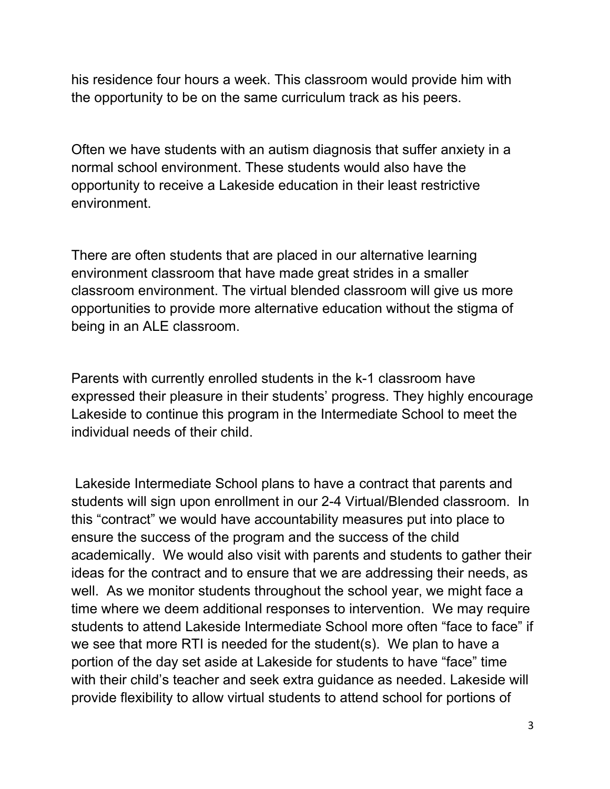his residence four hours a week. This classroom would provide him with the opportunity to be on the same curriculum track as his peers.

Often we have students with an autism diagnosis that suffer anxiety in a normal school environment. These students would also have the opportunity to receive a Lakeside education in their least restrictive environment.

There are often students that are placed in our alternative learning environment classroom that have made great strides in a smaller classroom environment. The virtual blended classroom will give us more opportunities to provide more alternative education without the stigma of being in an ALE classroom.

Parents with currently enrolled students in the k-1 classroom have expressed their pleasure in their students' progress. They highly encourage Lakeside to continue this program in the Intermediate School to meet the individual needs of their child.

Lakeside Intermediate School plans to have a contract that parents and students will sign upon enrollment in our 2-4 Virtual/Blended classroom. In this "contract" we would have accountability measures put into place to ensure the success of the program and the success of the child academically. We would also visit with parents and students to gather their ideas for the contract and to ensure that we are addressing their needs, as well. As we monitor students throughout the school year, we might face a time where we deem additional responses to intervention. We may require students to attend Lakeside Intermediate School more often "face to face" if we see that more RTI is needed for the student(s). We plan to have a portion of the day set aside at Lakeside for students to have "face" time with their child's teacher and seek extra guidance as needed. Lakeside will provide flexibility to allow virtual students to attend school for portions of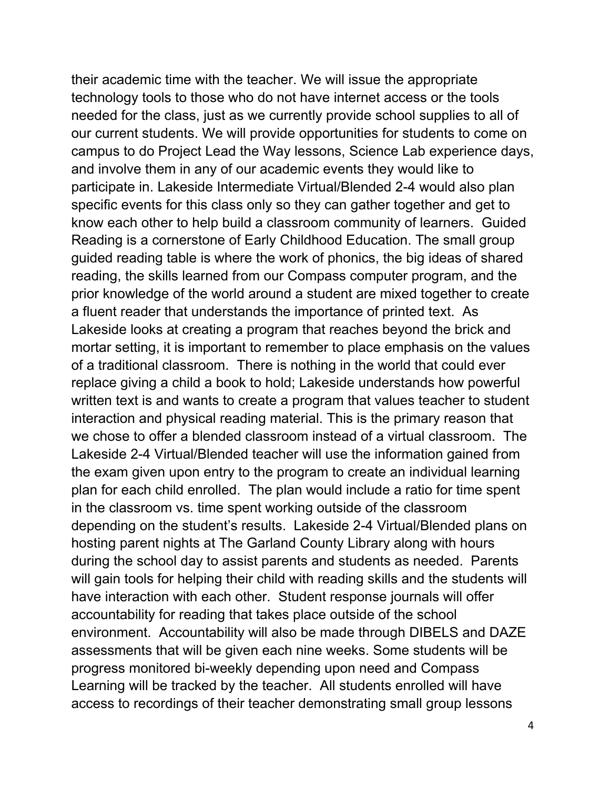their academic time with the teacher. We will issue the appropriate technology tools to those who do not have internet access or the tools needed for the class, just as we currently provide school supplies to all of our current students. We will provide opportunities for students to come on campus to do Project Lead the Way lessons, Science Lab experience days, and involve them in any of our academic events they would like to participate in. Lakeside Intermediate Virtual/Blended 2-4 would also plan specific events for this class only so they can gather together and get to know each other to help build a classroom community of learners. Guided Reading is a cornerstone of Early Childhood Education. The small group guided reading table is where the work of phonics, the big ideas of shared reading, the skills learned from our Compass computer program, and the prior knowledge of the world around a student are mixed together to create a fluent reader that understands the importance of printed text. As Lakeside looks at creating a program that reaches beyond the brick and mortar setting, it is important to remember to place emphasis on the values of a traditional classroom. There is nothing in the world that could ever replace giving a child a book to hold; Lakeside understands how powerful written text is and wants to create a program that values teacher to student interaction and physical reading material. This is the primary reason that we chose to offer a blended classroom instead of a virtual classroom. The Lakeside 2-4 Virtual/Blended teacher will use the information gained from the exam given upon entry to the program to create an individual learning plan for each child enrolled. The plan would include a ratio for time spent in the classroom vs. time spent working outside of the classroom depending on the student's results. Lakeside 2-4 Virtual/Blended plans on hosting parent nights at The Garland County Library along with hours during the school day to assist parents and students as needed. Parents will gain tools for helping their child with reading skills and the students will have interaction with each other. Student response journals will offer accountability for reading that takes place outside of the school environment. Accountability will also be made through DIBELS and DAZE assessments that will be given each nine weeks. Some students will be progress monitored bi-weekly depending upon need and Compass Learning will be tracked by the teacher. All students enrolled will have access to recordings of their teacher demonstrating small group lessons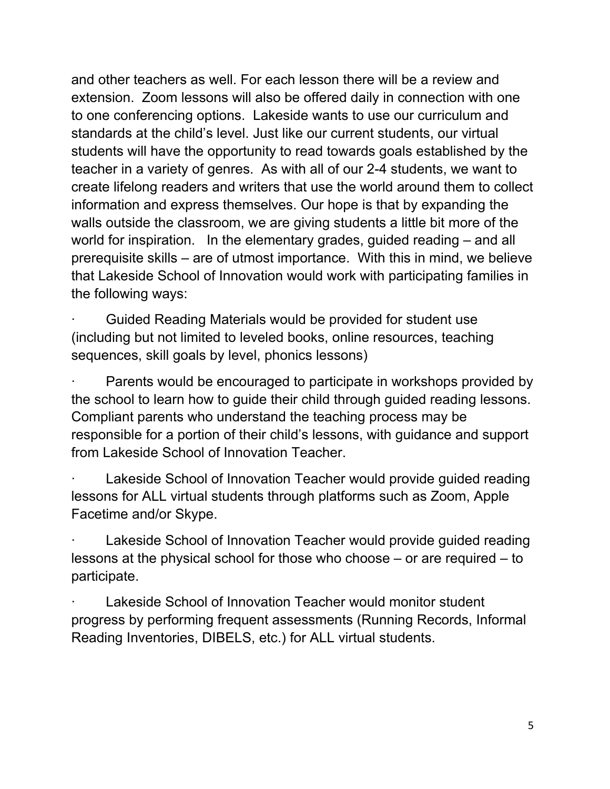and other teachers as well. For each lesson there will be a review and extension. Zoom lessons will also be offered daily in connection with one to one conferencing options. Lakeside wants to use our curriculum and standards at the child's level. Just like our current students, our virtual students will have the opportunity to read towards goals established by the teacher in a variety of genres. As with all of our 2-4 students, we want to create lifelong readers and writers that use the world around them to collect information and express themselves. Our hope is that by expanding the walls outside the classroom, we are giving students a little bit more of the world for inspiration. In the elementary grades, guided reading – and all prerequisite skills – are of utmost importance. With this in mind, we believe that Lakeside School of Innovation would work with participating families in the following ways:

Guided Reading Materials would be provided for student use (including but not limited to leveled books, online resources, teaching sequences, skill goals by level, phonics lessons)

Parents would be encouraged to participate in workshops provided by the school to learn how to guide their child through guided reading lessons. Compliant parents who understand the teaching process may be responsible for a portion of their child's lessons, with guidance and support from Lakeside School of Innovation Teacher.

Lakeside School of Innovation Teacher would provide guided reading lessons for ALL virtual students through platforms such as Zoom, Apple Facetime and/or Skype.

Lakeside School of Innovation Teacher would provide guided reading lessons at the physical school for those who choose – or are required – to participate.

Lakeside School of Innovation Teacher would monitor student progress by performing frequent assessments (Running Records, Informal Reading Inventories, DIBELS, etc.) for ALL virtual students.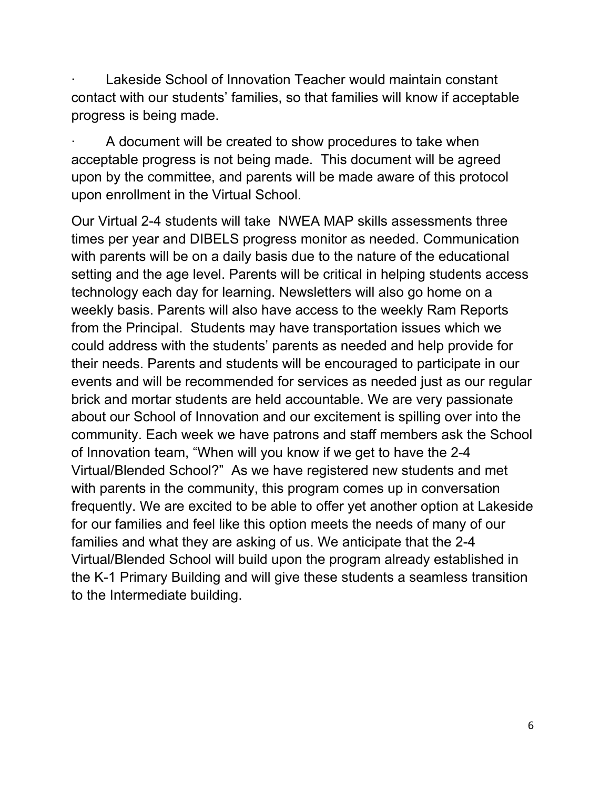Lakeside School of Innovation Teacher would maintain constant contact with our students' families, so that families will know if acceptable progress is being made.

A document will be created to show procedures to take when acceptable progress is not being made. This document will be agreed upon by the committee, and parents will be made aware of this protocol upon enrollment in the Virtual School.

Our Virtual 2-4 students will take NWEA MAP skills assessments three times per year and DIBELS progress monitor as needed. Communication with parents will be on a daily basis due to the nature of the educational setting and the age level. Parents will be critical in helping students access technology each day for learning. Newsletters will also go home on a weekly basis. Parents will also have access to the weekly Ram Reports from the Principal. Students may have transportation issues which we could address with the students' parents as needed and help provide for their needs. Parents and students will be encouraged to participate in our events and will be recommended for services as needed just as our regular brick and mortar students are held accountable. We are very passionate about our School of Innovation and our excitement is spilling over into the community. Each week we have patrons and staff members ask the School of Innovation team, "When will you know if we get to have the 2-4 Virtual/Blended School?" As we have registered new students and met with parents in the community, this program comes up in conversation frequently. We are excited to be able to offer yet another option at Lakeside for our families and feel like this option meets the needs of many of our families and what they are asking of us. We anticipate that the 2-4 Virtual/Blended School will build upon the program already established in the K-1 Primary Building and will give these students a seamless transition to the Intermediate building.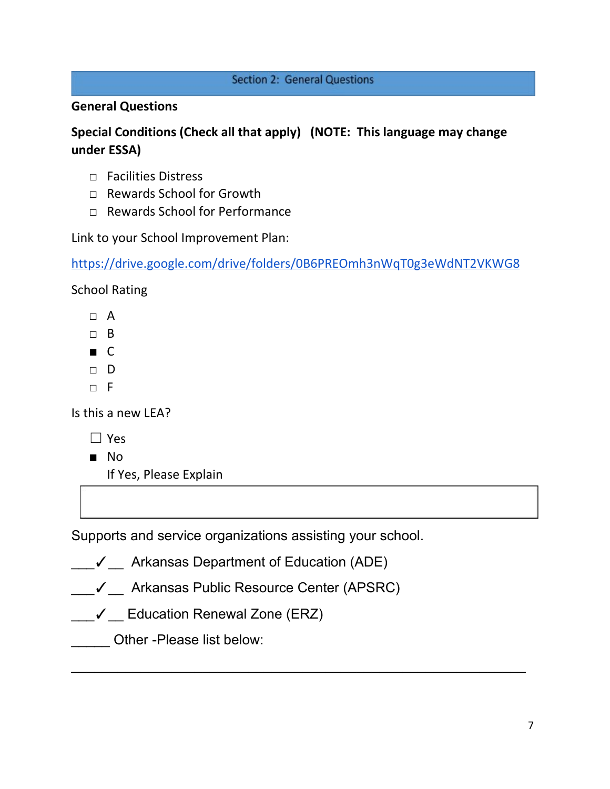#### **Section 2: General Questions**

### **General Questions**

## **Special Conditions (Check all that apply) (NOTE: This language may change under ESSA)**

- □ Facilities Distress
- □ Rewards School for Growth
- □ Rewards School for Performance

Link to your School Improvement Plan:

<https://drive.google.com/drive/folders/0B6PREOmh3nWqT0g3eWdNT2VKWG8>

School Rating

- $\Box$  A
- □ B
- C
- □ D
- $\neg$  F

Is this a new LEA?

- ☐ Yes
- No
	- If Yes, Please Explain

Supports and service organizations assisting your school.

- \_\_\_✓\_\_ Arkansas Department of Education (ADE)
- \_\_\_✓\_\_ Arkansas Public Resource Center (APSRC)

\_\_\_\_\_\_\_\_\_\_\_\_\_\_\_\_\_\_\_\_\_\_\_\_\_\_\_\_\_\_\_\_\_\_\_\_\_\_\_\_\_\_\_\_\_\_\_\_\_\_\_\_\_\_\_\_\_\_\_

\_\_\_✓\_\_ Education Renewal Zone (ERZ)

\_\_\_\_\_ Other -Please list below: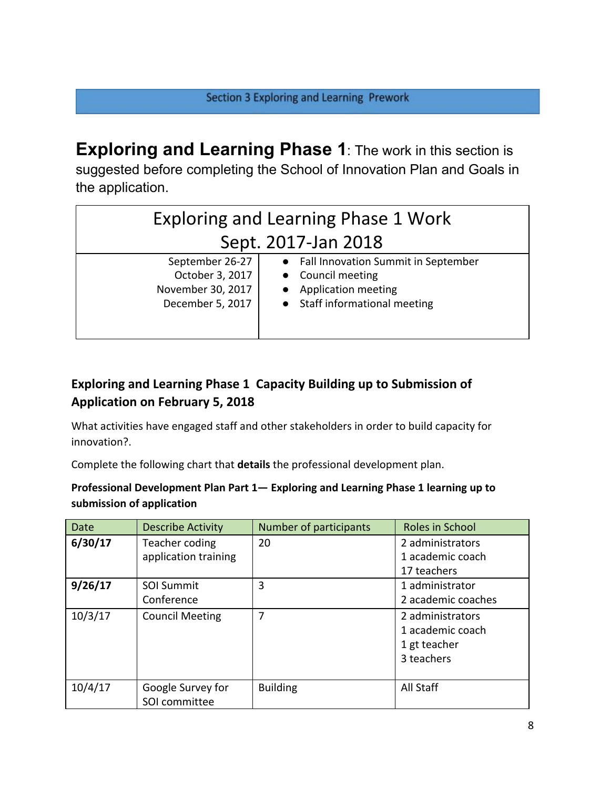**Exploring and Learning Phase 1**: The work in this section is suggested before completing the School of Innovation Plan and Goals in the application.

| <b>Exploring and Learning Phase 1 Work</b>                                  |                                                                                                                      |  |  |
|-----------------------------------------------------------------------------|----------------------------------------------------------------------------------------------------------------------|--|--|
| Sept. 2017-Jan 2018                                                         |                                                                                                                      |  |  |
| September 26-27<br>October 3, 2017<br>November 30, 2017<br>December 5, 2017 | • Fall Innovation Summit in September<br>• Council meeting<br>• Application meeting<br>• Staff informational meeting |  |  |

## **Exploring and Learning Phase 1 Capacity Building up to Submission of Application on February 5, 2018**

What activities have engaged staff and other stakeholders in order to build capacity for innovation?.

Complete the following chart that **details** the professional development plan.

#### **Professional Development Plan Part 1— Exploring and Learning Phase 1 learning up to submission of application**

| Date    | <b>Describe Activity</b>           | Number of participants | Roles in School                                                    |
|---------|------------------------------------|------------------------|--------------------------------------------------------------------|
| 6/30/17 | Teacher coding                     | 20                     | 2 administrators                                                   |
|         | application training               |                        | 1 academic coach                                                   |
|         |                                    |                        | 17 teachers                                                        |
| 9/26/17 | <b>SOI Summit</b>                  | 3                      | 1 administrator                                                    |
|         | Conference                         |                        | 2 academic coaches                                                 |
| 10/3/17 | <b>Council Meeting</b>             | 7                      | 2 administrators<br>1 academic coach<br>1 gt teacher<br>3 teachers |
| 10/4/17 | Google Survey for<br>SOI committee | <b>Building</b>        | All Staff                                                          |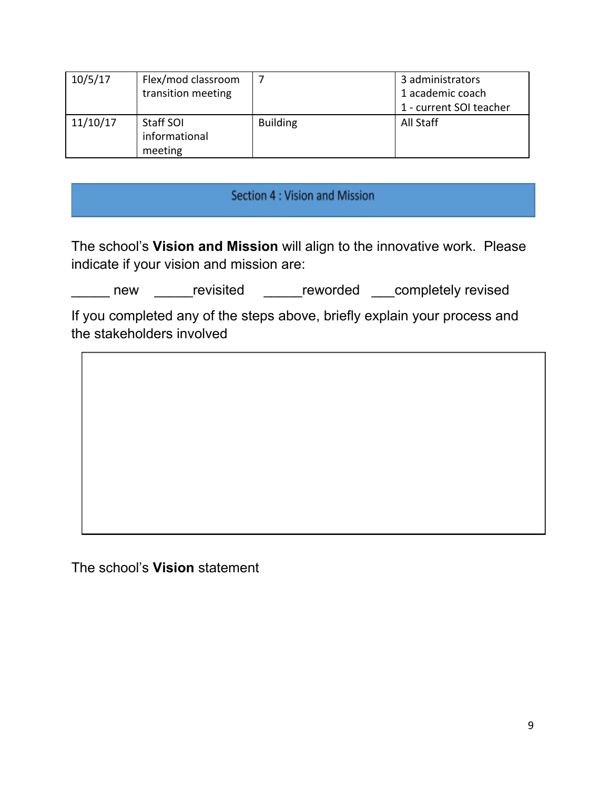| 10/5/17  | Flex/mod classroom<br>transition meeting |                 | 3 administrators<br>1 academic coach<br>1 - current SOI teacher |
|----------|------------------------------------------|-----------------|-----------------------------------------------------------------|
| 11/10/17 | Staff SOI<br>informational<br>meeting    | <b>Building</b> | All Staff                                                       |

## Section 4 : Vision and Mission

The school's **Vision and Mission** will align to the innovative work. Please indicate if your vision and mission are:

Letter and the visited and the visited and the visited and visited and visited and visited and visited and visi

If you completed any of the steps above, briefly explain your process and the stakeholders involved

The school's **Vision** statement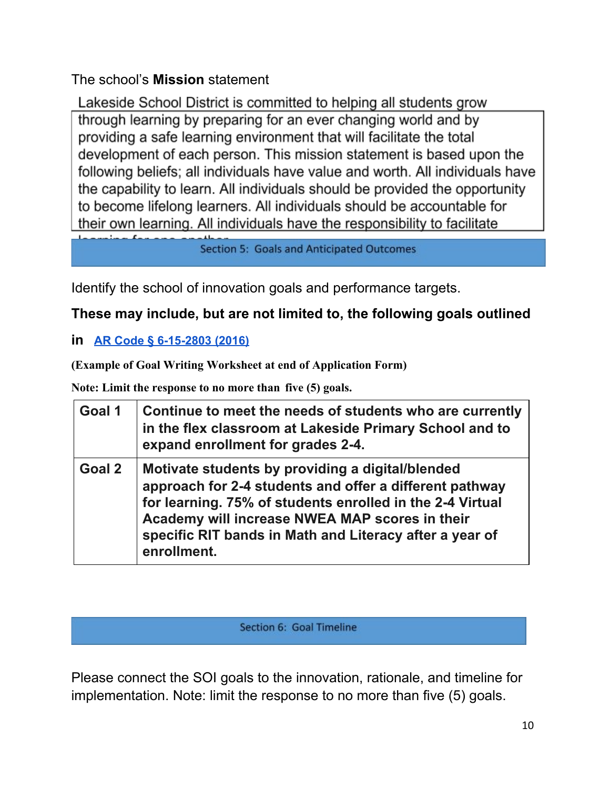The school's **Mission** statement

Lakeside School District is committed to helping all students grow through learning by preparing for an ever changing world and by providing a safe learning environment that will facilitate the total development of each person. This mission statement is based upon the following beliefs; all individuals have value and worth. All individuals have the capability to learn. All individuals should be provided the opportunity to become lifelong learners. All individuals should be accountable for their own learning. All individuals have the responsibility to facilitate

**Section 5: Goals and Anticipated Outcomes** 

Identify the school of innovation goals and performance targets.

## **These may include, but are not limited to, the following goals outlined**

#### **in [AR Code § 6-15-2803 \(2016\)](http://law.justia.com/codes/arkansas/2016/title-6/subtitle-2/chapter-15/subchapter-28/section-6-15-2803)**

**(Example of Goal Writing Worksheet at end of Application Form)**

**Note: Limit the response to no more than five (5) goals.**

| Goal 1 | Continue to meet the needs of students who are currently<br>in the flex classroom at Lakeside Primary School and to<br>expand enrollment for grades 2-4.                                                                                                                                             |
|--------|------------------------------------------------------------------------------------------------------------------------------------------------------------------------------------------------------------------------------------------------------------------------------------------------------|
| Goal 2 | Motivate students by providing a digital/blended<br>approach for 2-4 students and offer a different pathway<br>for learning. 75% of students enrolled in the 2-4 Virtual<br>Academy will increase NWEA MAP scores in their<br>specific RIT bands in Math and Literacy after a year of<br>enrollment. |

Section 6: Goal Timeline

Please connect the SOI goals to the innovation, rationale, and timeline for implementation. Note: limit the response to no more than five (5) goals.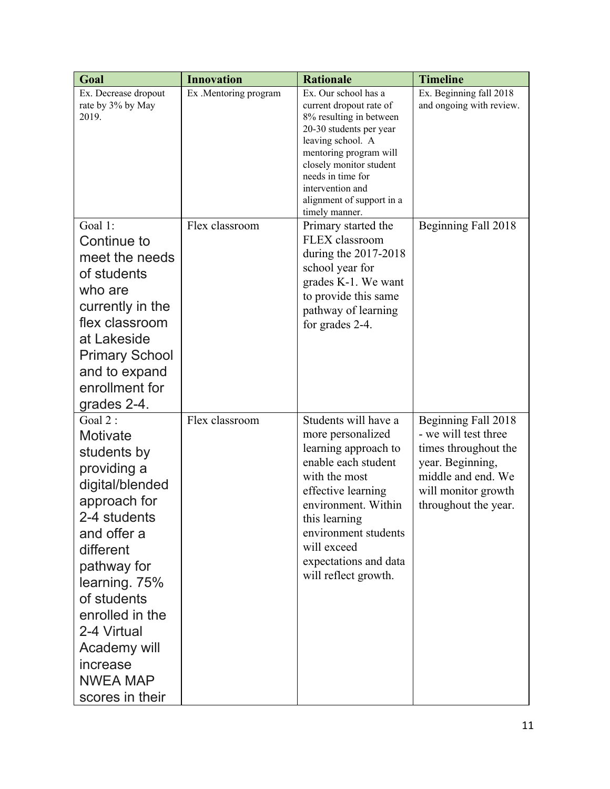| Goal                                                                                                                                                                                                                                                                                | <b>Innovation</b>     | <b>Rationale</b>                                                                                                                                                                                                                                                        | <b>Timeline</b>                                                                                                                                              |
|-------------------------------------------------------------------------------------------------------------------------------------------------------------------------------------------------------------------------------------------------------------------------------------|-----------------------|-------------------------------------------------------------------------------------------------------------------------------------------------------------------------------------------------------------------------------------------------------------------------|--------------------------------------------------------------------------------------------------------------------------------------------------------------|
| Ex. Decrease dropout<br>rate by 3% by May<br>2019.                                                                                                                                                                                                                                  | Ex .Mentoring program | Ex. Our school has a<br>current dropout rate of<br>8% resulting in between<br>20-30 students per year<br>leaving school. A<br>mentoring program will<br>closely monitor student<br>needs in time for<br>intervention and<br>alignment of support in a<br>timely manner. | Ex. Beginning fall 2018<br>and ongoing with review.                                                                                                          |
| Goal 1:<br>Continue to<br>meet the needs<br>of students<br>who are<br>currently in the<br>flex classroom<br>at Lakeside<br><b>Primary School</b><br>and to expand<br>enrollment for<br>grades 2-4.                                                                                  | Flex classroom        | Primary started the<br>FLEX classroom<br>during the $2017-2018$<br>school year for<br>grades K-1. We want<br>to provide this same<br>pathway of learning<br>for grades 2-4.                                                                                             | Beginning Fall 2018                                                                                                                                          |
| Goal 2:<br>Motivate<br>students by<br>providing a<br>digital/blended<br>approach for<br>2-4 students<br>and offer a<br>different<br>pathway for<br>learning. 75%<br>of students<br>enrolled in the<br>2-4 Virtual<br>Academy will<br>increase<br><b>NWEA MAP</b><br>scores in their | Flex classroom        | Students will have a<br>more personalized<br>learning approach to<br>enable each student<br>with the most<br>effective learning<br>environment. Within<br>this learning<br>environment students<br>will exceed<br>expectations and data<br>will reflect growth.         | Beginning Fall 2018<br>- we will test three<br>times throughout the<br>year. Beginning,<br>middle and end. We<br>will monitor growth<br>throughout the year. |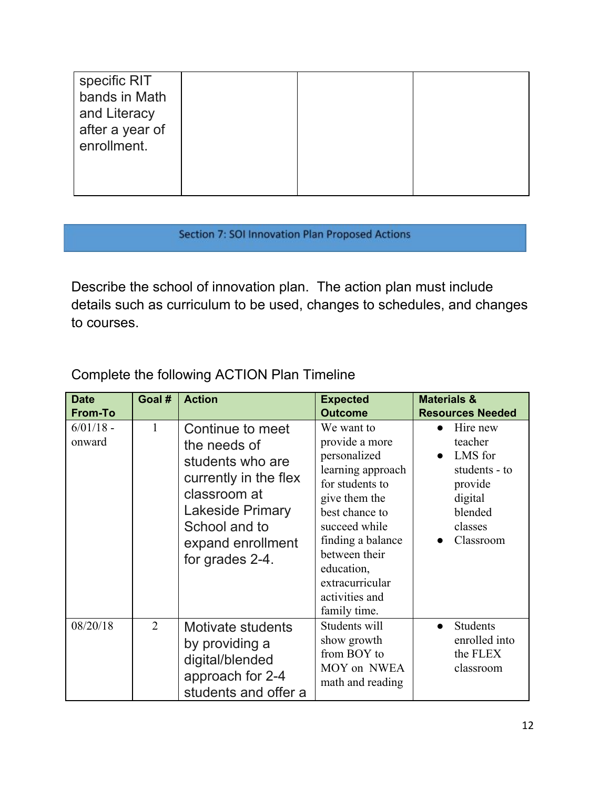| specific RIT<br>bands in Math<br>and Literacy<br>after a year of<br>enrollment. |  |  |
|---------------------------------------------------------------------------------|--|--|
|                                                                                 |  |  |

#### Section 7: SOI Innovation Plan Proposed Actions

Describe the school of innovation plan. The action plan must include details such as curriculum to be used, changes to schedules, and changes to courses.

# Complete the following ACTION Plan Timeline

| <b>Date</b>           | Goal # | <b>Action</b>                                                                                                                                                                     | <b>Expected</b>                                                                                                                                                                                                                                   | <b>Materials &amp;</b>                                                                                   |
|-----------------------|--------|-----------------------------------------------------------------------------------------------------------------------------------------------------------------------------------|---------------------------------------------------------------------------------------------------------------------------------------------------------------------------------------------------------------------------------------------------|----------------------------------------------------------------------------------------------------------|
| <b>From-To</b>        |        |                                                                                                                                                                                   | <b>Outcome</b>                                                                                                                                                                                                                                    | <b>Resources Needed</b>                                                                                  |
| $6/01/18$ -<br>onward | 1      | Continue to meet<br>the needs of<br>students who are<br>currently in the flex<br>classroom at<br><b>Lakeside Primary</b><br>School and to<br>expand enrollment<br>for grades 2-4. | We want to<br>provide a more<br>personalized<br>learning approach<br>for students to<br>give them the<br>best chance to<br>succeed while<br>finding a balance<br>between their<br>education,<br>extracurricular<br>activities and<br>family time. | Hire new<br>teacher<br>LMS for<br>students - to<br>provide<br>digital<br>blended<br>classes<br>Classroom |
| 08/20/18              | 2      | Motivate students<br>by providing a<br>digital/blended<br>approach for 2-4<br>students and offer a                                                                                | Students will<br>show growth<br>from BOY to<br>MOY on NWEA<br>math and reading                                                                                                                                                                    | <b>Students</b><br>enrolled into<br>the FLEX<br>classroom                                                |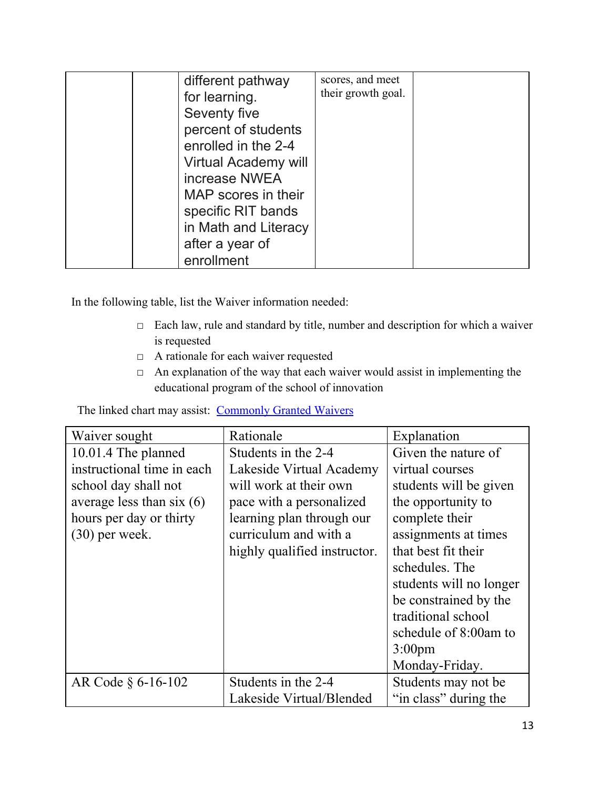| different pathway<br>for learning.<br>Seventy five<br>percent of students<br>enrolled in the 2-4<br>Virtual Academy will<br>increase NWEA<br>MAP scores in their<br>specific RIT bands<br>in Math and Literacy<br>after a year of | scores, and meet<br>their growth goal. |  |
|-----------------------------------------------------------------------------------------------------------------------------------------------------------------------------------------------------------------------------------|----------------------------------------|--|
| enrollment                                                                                                                                                                                                                        |                                        |  |

In the following table, list the Waiver information needed:

- $\Box$  Each law, rule and standard by title, number and description for which a waiver is requested
- □ A rationale for each waiver requested
- $\Box$  An explanation of the way that each waiver would assist in implementing the educational program of the school of innovation

The linked chart may assist: [Commonly Granted Waivers](http://www.arkansased.gov/public/userfiles/Learning_Services/Charter%20and%20Home%20School/Charter%20School-Division%20of%20Learning%20Services/Applications/Waiver_Document.pdf)

| Waiver sought               | Rationale                    | Explanation             |
|-----------------------------|------------------------------|-------------------------|
| 10.01.4 The planned         | Students in the 2-4          | Given the nature of     |
| instructional time in each  | Lakeside Virtual Academy     | virtual courses         |
| school day shall not        | will work at their own       | students will be given  |
| average less than six $(6)$ | pace with a personalized     | the opportunity to      |
| hours per day or thirty     | learning plan through our    | complete their          |
| $(30)$ per week.            | curriculum and with a        | assignments at times    |
|                             | highly qualified instructor. | that best fit their     |
|                             |                              | schedules. The          |
|                             |                              | students will no longer |
|                             |                              | be constrained by the   |
|                             |                              | traditional school      |
|                             |                              | schedule of 8:00am to   |
|                             |                              | $3:00 \text{pm}$        |
|                             |                              | Monday-Friday.          |
| AR Code § 6-16-102          | Students in the 2-4          | Students may not be.    |
|                             | Lakeside Virtual/Blended     | "in class" during the   |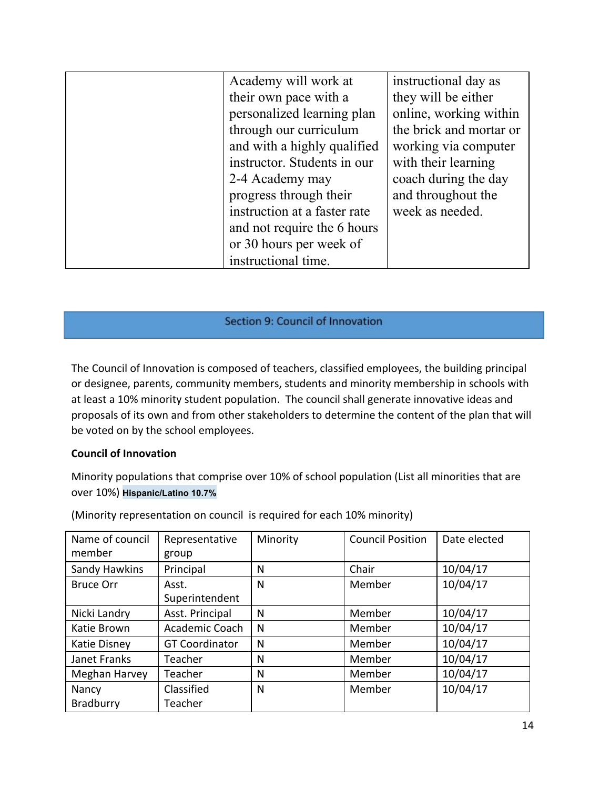| Academy will work at         | instructional day as    |
|------------------------------|-------------------------|
| their own pace with a        | they will be either     |
| personalized learning plan   | online, working within  |
| through our curriculum       | the brick and mortar or |
| and with a highly qualified  | working via computer    |
| instructor. Students in our  | with their learning     |
| 2-4 Academy may              | coach during the day    |
| progress through their       | and throughout the      |
| instruction at a faster rate | week as needed.         |
| and not require the 6 hours  |                         |
| or 30 hours per week of      |                         |
| instructional time.          |                         |

#### Section 9: Council of Innovation

The Council of Innovation is composed of teachers, classified employees, the building principal or designee, parents, community members, students and minority membership in schools with at least a 10% minority student population. The council shall generate innovative ideas and proposals of its own and from other stakeholders to determine the content of the plan that will be voted on by the school employees.

#### **Council of Innovation**

Minority populations that comprise over 10% of school population (List all minorities that are over 10%) **Hispanic/Latino 10.7%**

| Name of council  | Representative        | Minority | <b>Council Position</b> | Date elected |
|------------------|-----------------------|----------|-------------------------|--------------|
| member           | group                 |          |                         |              |
| Sandy Hawkins    | Principal             | N        | Chair                   | 10/04/17     |
| <b>Bruce Orr</b> | Asst.                 | N        | Member                  | 10/04/17     |
|                  | Superintendent        |          |                         |              |
| Nicki Landry     | Asst. Principal       | N        | Member                  | 10/04/17     |
| Katie Brown      | Academic Coach        | N        | Member                  | 10/04/17     |
| Katie Disney     | <b>GT Coordinator</b> | N        | Member                  | 10/04/17     |
| Janet Franks     | Teacher               | N        | Member                  | 10/04/17     |
| Meghan Harvey    | Teacher               | N        | Member                  | 10/04/17     |
| Nancy            | Classified            | N        | Member                  | 10/04/17     |
| Bradburry        | Teacher               |          |                         |              |

(Minority representation on council is required for each 10% minority)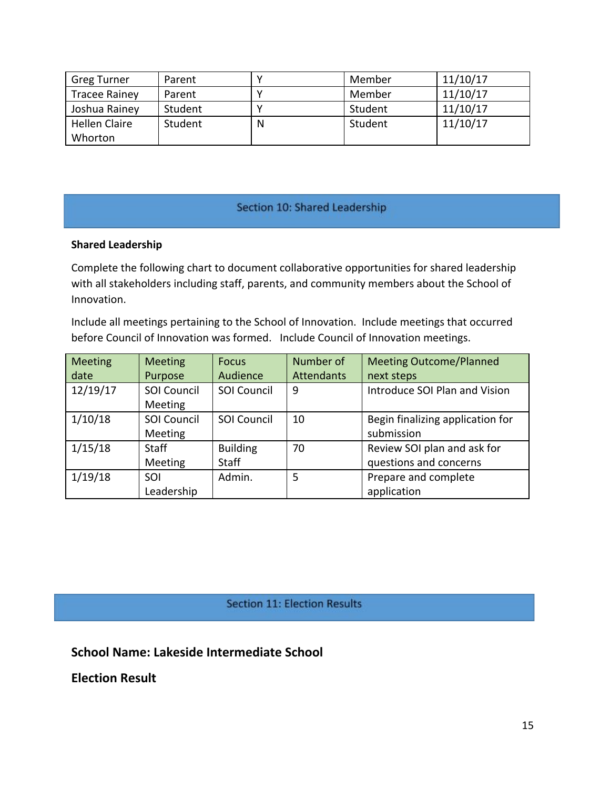| <b>Greg Turner</b>   | Parent  |   | Member  | 11/10/17 |
|----------------------|---------|---|---------|----------|
| <b>Tracee Rainey</b> | Parent  |   | Member  | 11/10/17 |
| Joshua Rainey        | Student |   | Student | 11/10/17 |
| <b>Hellen Claire</b> | Student | N | Student | 11/10/17 |
| Whorton              |         |   |         |          |

#### Section 10: Shared Leadership

#### **Shared Leadership**

Complete the following chart to document collaborative opportunities for shared leadership with all stakeholders including staff, parents, and community members about the School of Innovation.

Include all meetings pertaining to the School of Innovation. Include meetings that occurred before Council of Innovation was formed. Include Council of Innovation meetings.

| <b>Meeting</b> | <b>Meeting</b>                       | <b>Focus</b>       | Number of         | <b>Meeting Outcome/Planned</b>   |
|----------------|--------------------------------------|--------------------|-------------------|----------------------------------|
| date           | Purpose                              | Audience           | <b>Attendants</b> | next steps                       |
| 12/19/17       | <b>SOI Council</b><br><b>Meeting</b> | <b>SOI Council</b> | 9                 | Introduce SOI Plan and Vision    |
| 1/10/18        | <b>SOI Council</b>                   | <b>SOI Council</b> | 10                | Begin finalizing application for |
|                | Meeting                              |                    |                   | submission                       |
| 1/15/18        | <b>Staff</b>                         | <b>Building</b>    | 70                | Review SOI plan and ask for      |
|                | <b>Meeting</b>                       | <b>Staff</b>       |                   | questions and concerns           |
| 1/19/18        | SOI                                  | Admin.             | 5                 | Prepare and complete             |
|                | Leadership                           |                    |                   | application                      |

**Section 11: Election Results** 

**School Name: Lakeside Intermediate School**

**Election Result**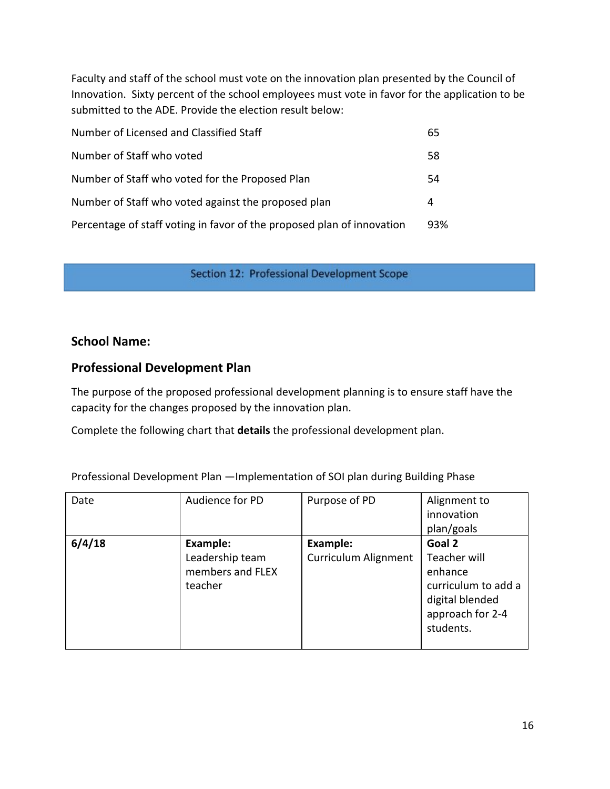Faculty and staff of the school must vote on the innovation plan presented by the Council of Innovation. Sixty percent of the school employees must vote in favor for the application to be submitted to the ADE. Provide the election result below:

| Number of Licensed and Classified Staff                                | 65  |
|------------------------------------------------------------------------|-----|
| Number of Staff who voted                                              | 58  |
| Number of Staff who voted for the Proposed Plan                        | 54  |
| Number of Staff who voted against the proposed plan                    | 4   |
| Percentage of staff voting in favor of the proposed plan of innovation | 93% |

Section 12: Professional Development Scope

#### **School Name:**

#### **Professional Development Plan**

The purpose of the proposed professional development planning is to ensure staff have the capacity for the changes proposed by the innovation plan.

Complete the following chart that **details** the professional development plan.

Professional Development Plan —Implementation of SOI plan during Building Phase

| Date   | Audience for PD                                            | Purpose of PD                           | Alignment to<br>innovation<br>plan/goals                                                                     |
|--------|------------------------------------------------------------|-----------------------------------------|--------------------------------------------------------------------------------------------------------------|
| 6/4/18 | Example:<br>Leadership team<br>members and FLEX<br>teacher | Example:<br><b>Curriculum Alignment</b> | Goal 2<br>Teacher will<br>enhance<br>curriculum to add a<br>digital blended<br>approach for 2-4<br>students. |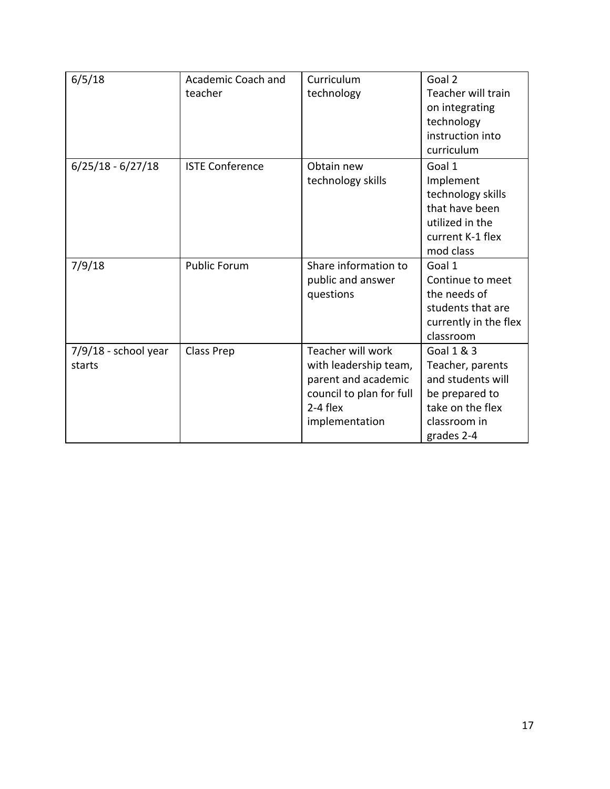| 6/5/18                           | Academic Coach and<br>teacher | Curriculum<br>technology                                                                                                      | Goal 2<br>Teacher will train<br>on integrating<br>technology<br>instruction into<br>curriculum                          |
|----------------------------------|-------------------------------|-------------------------------------------------------------------------------------------------------------------------------|-------------------------------------------------------------------------------------------------------------------------|
| $6/25/18 - 6/27/18$              | <b>ISTE Conference</b>        | Obtain new<br>technology skills                                                                                               | Goal 1<br>Implement<br>technology skills<br>that have been<br>utilized in the<br>current K-1 flex<br>mod class          |
| 7/9/18                           | <b>Public Forum</b>           | Share information to<br>public and answer<br>questions                                                                        | Goal 1<br>Continue to meet<br>the needs of<br>students that are<br>currently in the flex<br>classroom                   |
| $7/9/18$ - school year<br>starts | <b>Class Prep</b>             | Teacher will work<br>with leadership team,<br>parent and academic<br>council to plan for full<br>$2-4$ flex<br>implementation | Goal 1 & 3<br>Teacher, parents<br>and students will<br>be prepared to<br>take on the flex<br>classroom in<br>grades 2-4 |